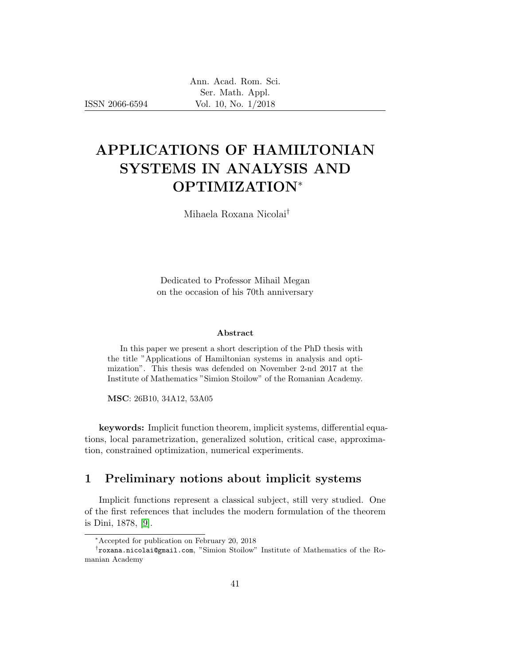ISSN 2066-6594

# APPLICATIONS OF HAMILTONIAN SYSTEMS IN ANALYSIS AND OPTIMIZATION<sup>∗</sup>

Mihaela Roxana Nicolai†

Dedicated to Professor Mihail Megan on the occasion of his 70th anniversary

#### Abstract

In this paper we present a short description of the PhD thesis with the title "Applications of Hamiltonian systems in analysis and optimization". This thesis was defended on November 2-nd 2017 at the Institute of Mathematics "Simion Stoilow" of the Romanian Academy.

MSC: 26B10, 34A12, 53A05

keywords: Implicit function theorem, implicit systems, differential equations, local parametrization, generalized solution, critical case, approximation, constrained optimization, numerical experiments.

# 1 Preliminary notions about implicit systems

Implicit functions represent a classical subject, still very studied. One of the first references that includes the modern formulation of the theorem is Dini, 1878, [\[9\]](#page-15-0).

<sup>∗</sup>Accepted for publication on February 20, 2018

<sup>†</sup> roxana.nicolai@gmail.com, "Simion Stoilow" Institute of Mathematics of the Romanian Academy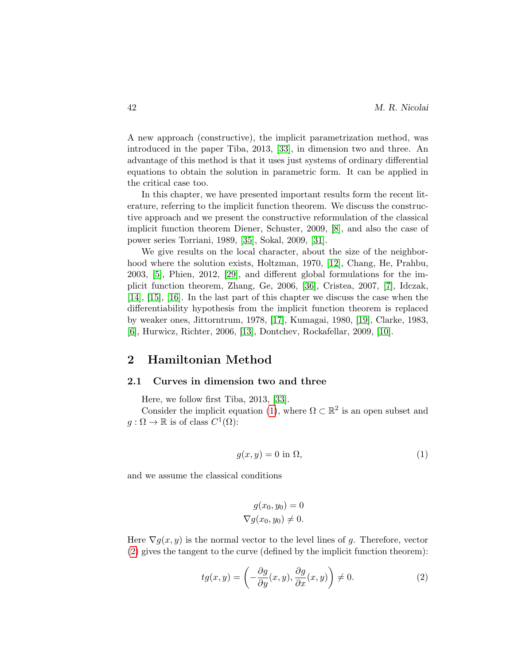A new approach (constructive), the implicit parametrization method, was introduced in the paper Tiba, 2013, [\[33\]](#page-17-0), in dimension two and three. An advantage of this method is that it uses just systems of ordinary differential equations to obtain the solution in parametric form. It can be applied in the critical case too.

In this chapter, we have presented important results form the recent literature, referring to the implicit function theorem. We discuss the constructive approach and we present the constructive reformulation of the classical implicit function theorem Diener, Schuster, 2009, [\[8\]](#page-15-1), and also the case of power series Torriani, 1989, [\[35\]](#page-17-1), Sokal, 2009, [\[31\]](#page-17-2).

We give results on the local character, about the size of the neighborhood where the solution exists, Holtzman, 1970, [\[12\]](#page-15-2), Chang, He, Prahbu, 2003, [\[5\]](#page-15-3), Phien, 2012, [\[29\]](#page-17-3), and different global formulations for the implicit function theorem, Zhang, Ge, 2006, [\[36\]](#page-17-4), Cristea, 2007, [\[7\]](#page-15-4), Idczak, [\[14\]](#page-15-5), [\[15\]](#page-15-6), [\[16\]](#page-15-7). In the last part of this chapter we discuss the case when the differentiability hypothesis from the implicit function theorem is replaced by weaker ones, Jittorntrum, 1978, [\[17\]](#page-16-0), Kumagai, 1980, [\[19\]](#page-16-1), Clarke, 1983, [\[6\]](#page-15-8), Hurwicz, Richter, 2006, [\[13\]](#page-15-9), Dontchev, Rockafellar, 2009, [\[10\]](#page-15-10).

## 2 Hamiltonian Method

#### 2.1 Curves in dimension two and three

Here, we follow first Tiba, 2013, [\[33\]](#page-17-0).

Consider the implicit equation [\(1\)](#page-1-0), where  $\Omega \subset \mathbb{R}^2$  is an open subset and  $g: \Omega \to \mathbb{R}$  is of class  $C^1(\Omega)$ :

<span id="page-1-0"></span>
$$
g(x, y) = 0 \text{ in } \Omega,\tag{1}
$$

and we assume the classical conditions

$$
g(x_0, y_0) = 0
$$
  

$$
\nabla g(x_0, y_0) \neq 0.
$$

Here  $\nabla g(x, y)$  is the normal vector to the level lines of g. Therefore, vector [\(2\)](#page-1-1) gives the tangent to the curve (defined by the implicit function theorem):

<span id="page-1-1"></span>
$$
tg(x,y) = \left(-\frac{\partial g}{\partial y}(x,y), \frac{\partial g}{\partial x}(x,y)\right) \neq 0.
$$
 (2)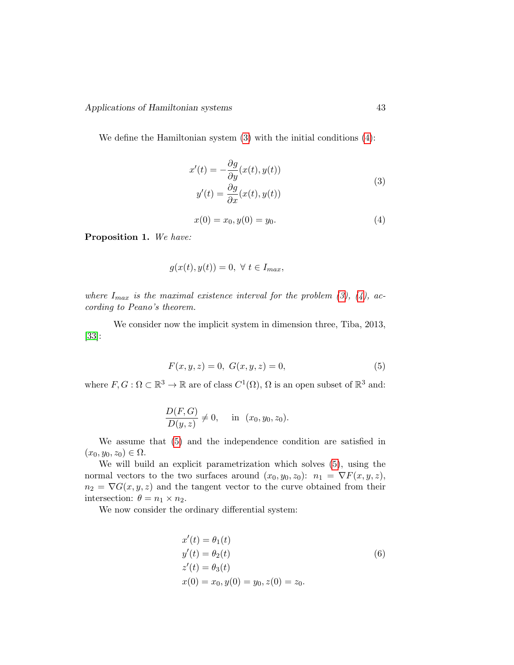<span id="page-2-0"></span>We define the Hamiltonian system [\(3\)](#page-2-0) with the initial conditions [\(4\)](#page-2-1):

$$
x'(t) = -\frac{\partial g}{\partial y}(x(t), y(t))
$$
  

$$
y'(t) = \frac{\partial g}{\partial x}(x(t), y(t))
$$
 (3)

<span id="page-2-1"></span>
$$
x(0) = x_0, y(0) = y_0.
$$
\n<sup>(4)</sup>

Proposition 1. We have:

$$
g(x(t), y(t)) = 0, \ \forall \ t \in I_{max},
$$

where  $I_{max}$  is the maximal existence interval for the problem [\(3\)](#page-2-0), [\(4\)](#page-2-1), according to Peano's theorem.

We consider now the implicit system in dimension three, Tiba, 2013, [\[33\]](#page-17-0):

<span id="page-2-2"></span>
$$
F(x, y, z) = 0, \ G(x, y, z) = 0,
$$
\n(5)

where  $F, G: \Omega \subset \mathbb{R}^3 \to \mathbb{R}$  are of class  $C^1(\Omega)$ ,  $\Omega$  is an open subset of  $\mathbb{R}^3$  and:

$$
\frac{D(F,G)}{D(y,z)} \neq 0, \quad \text{in} \ (x_0,y_0,z_0).
$$

We assume that [\(5\)](#page-2-2) and the independence condition are satisfied in  $(x_0, y_0, z_0) \in \Omega$ .

We will build an explicit parametrization which solves [\(5\)](#page-2-2), using the normal vectors to the two surfaces around  $(x_0, y_0, z_0)$ :  $n_1 = \nabla F(x, y, z)$ ,  $n_2 = \nabla G(x, y, z)$  and the tangent vector to the curve obtained from their intersection:  $\theta = n_1 \times n_2$ .

We now consider the ordinary differential system:

<span id="page-2-3"></span>
$$
x'(t) = \theta_1(t)
$$
  
\n
$$
y'(t) = \theta_2(t)
$$
  
\n
$$
z'(t) = \theta_3(t)
$$
  
\n
$$
x(0) = x_0, y(0) = y_0, z(0) = z_0.
$$
\n(6)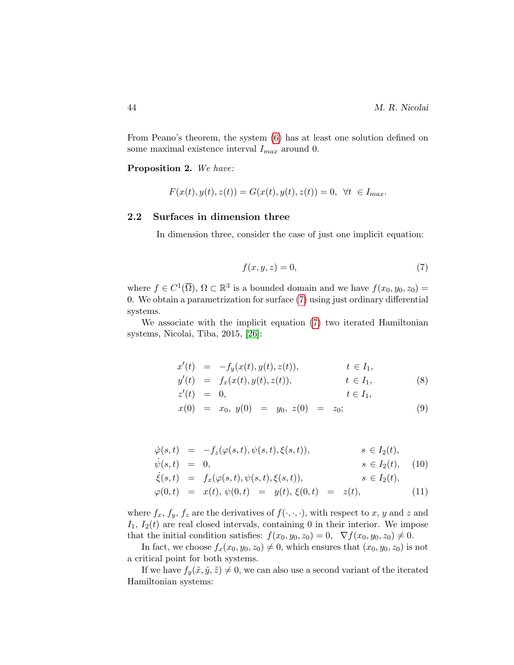From Peano's theorem, the system [\(6\)](#page-2-3) has at least one solution defined on some maximal existence interval  $I_{max}$  around 0.

Proposition 2. We have:

$$
F(x(t), y(t), z(t)) = G(x(t), y(t), z(t)) = 0, \forall t \in I_{max}.
$$

## 2.2 Surfaces in dimension three

In dimension three, consider the case of just one implicit equation:

<span id="page-3-0"></span>
$$
f(x, y, z) = 0,\t\t(7)
$$

where  $f \in C^1(\overline{\Omega})$ ,  $\Omega \subset \mathbb{R}^3$  is a bounded domain and we have  $f(x_0, y_0, z_0) =$ 0. We obtain a parametrization for surface [\(7\)](#page-3-0) using just ordinary differential systems.

We associate with the implicit equation [\(7\)](#page-3-0) two iterated Hamiltonian systems, Nicolai, Tiba, 2015, [\[26\]](#page-16-2):

<span id="page-3-1"></span>
$$
x'(t) = -f_y(x(t), y(t), z(t)), \t t \in I_1,y'(t) = f_x(x(t), y(t), z(t)), \t t \in I_1,z'(t) = 0, \t t \in I_1,
$$
 (8)

$$
x(0) = x_0, y(0) = y_0, z(0) = z_0;
$$
\n(9)

<span id="page-3-2"></span>
$$
\dot{\varphi}(s,t) = -f_z(\varphi(s,t), \psi(s,t), \xi(s,t)), \qquad s \in I_2(t), \n\dot{\psi}(s,t) = 0, \qquad s \in I_2(t), \quad (10)
$$

$$
\dot \xi(s,t) \hspace{2mm} = \hspace{2mm} f_x(\varphi(s,t),\psi(s,t),\xi(s,t)), \hspace{2cm} s \in I_2(t),
$$

$$
\varphi(0,t) = x(t), \psi(0,t) = y(t), \xi(0,t) = z(t), \qquad (11)
$$

where  $f_x, f_y, f_z$  are the derivatives of  $f(\cdot, \cdot, \cdot)$ , with respect to x, y and z and  $I_1$ ,  $I_2(t)$  are real closed intervals, containing 0 in their interior. We impose that the initial condition satisfies:  $f(x_0, y_0, z_0) = 0$ ,  $\nabla f(x_0, y_0, z_0) \neq 0$ .

In fact, we choose  $f_x(x_0, y_0, z_0) \neq 0$ , which ensures that  $(x_0, y_0, z_0)$  is not a critical point for both systems.

If we have  $f_y(\tilde{x}, \tilde{y}, \tilde{z}) \neq 0$ , we can also use a second variant of the iterated Hamiltonian systems: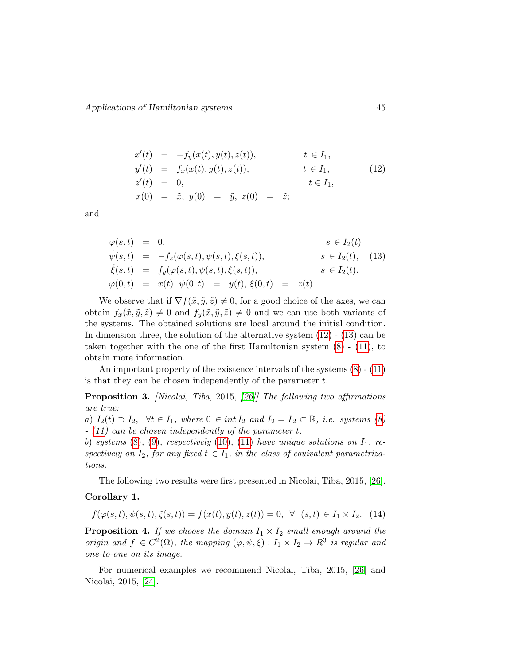<span id="page-4-0"></span>
$$
x'(t) = -f_y(x(t), y(t), z(t)), \t t \in I_1,
$$
  
\n
$$
y'(t) = f_x(x(t), y(t), z(t)), \t t \in I_1,
$$
  
\n
$$
z'(t) = 0, \t t \in I_1,
$$
  
\n
$$
x(0) = \tilde{x}, y(0) = \tilde{y}, z(0) = \tilde{z};
$$
\n(12)

and

<span id="page-4-1"></span>
$$
\dot{\varphi}(s,t) = 0, \qquad s \in I_2(t) \n\dot{\psi}(s,t) = -f_z(\varphi(s,t), \psi(s,t), \xi(s,t)), \qquad s \in I_2(t), \quad (13) \n\dot{\xi}(s,t) = f_y(\varphi(s,t), \psi(s,t), \xi(s,t)), \qquad s \in I_2(t), \n\varphi(0,t) = x(t), \psi(0,t) = y(t), \xi(0,t) = z(t).
$$

We observe that if  $\nabla f(\tilde{x}, \tilde{y}, \tilde{z}) \neq 0$ , for a good choice of the axes, we can obtain  $f_x(\tilde{x}, \tilde{y}, \tilde{z}) \neq 0$  and  $f_y(\tilde{x}, \tilde{y}, \tilde{z}) \neq 0$  and we can use both variants of the systems. The obtained solutions are local around the initial condition. In dimension three, the solution of the alternative system  $(12)$  -  $(13)$  can be taken together with the one of the first Hamiltonian system [\(8\)](#page-3-1) - [\(11\)](#page-3-2), to obtain more information.

An important property of the existence intervals of the systems [\(8\)](#page-3-1) - [\(11\)](#page-3-2) is that they can be chosen independently of the parameter  $t$ .

Proposition 3. [Nicolai, Tiba, 2015, [\[26\]](#page-16-2)] The following two affirmations are true:

a)  $I_2(t) \supset I_2$ ,  $\forall t \in I_1$ , where  $0 \in int I_2$  and  $I_2 = I_2 \subset \mathbb{R}$ , *i.e.* systems [\(8\)](#page-3-1) - [\(11\)](#page-3-2) can be chosen independently of the parameter t.

b) systems  $(8)$ ,  $(9)$ , respectively  $(10)$ ,  $(11)$  have unique solutions on  $I_1$ , respectively on  $I_2$ , for any fixed  $t \in I_1$ , in the class of equivalent parametrizations.

The following two results were first presented in Nicolai, Tiba, 2015, [\[26\]](#page-16-2).

#### Corollary 1.

$$
f(\varphi(s,t), \psi(s,t), \xi(s,t)) = f(x(t), y(t), z(t)) = 0, \ \forall \ (s,t) \in I_1 \times I_2. \tag{14}
$$

**Proposition 4.** If we choose the domain  $I_1 \times I_2$  small enough around the origin and  $f \in C^2(\Omega)$ , the mapping  $(\varphi, \psi, \xi) : I_1 \times I_2 \to \mathbb{R}^3$  is regular and one-to-one on its image.

For numerical examples we recommend Nicolai, Tiba, 2015, [\[26\]](#page-16-2) and Nicolai, 2015, [\[24\]](#page-16-3).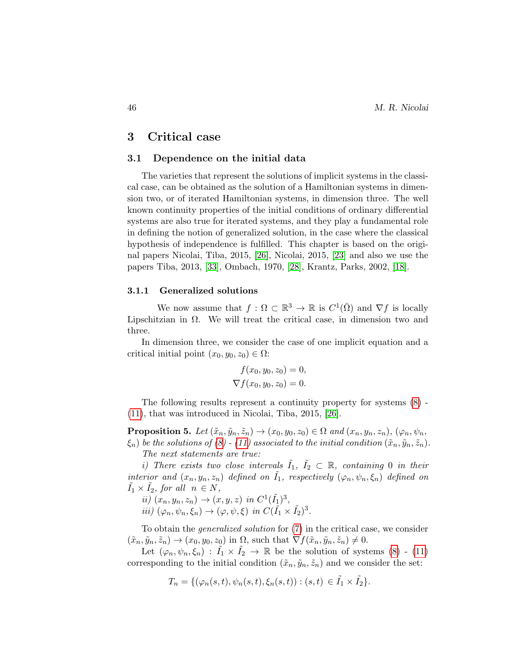## 3 Critical case

#### 3.1 Dependence on the initial data

The varieties that represent the solutions of implicit systems in the classical case, can be obtained as the solution of a Hamiltonian systems in dimension two, or of iterated Hamiltonian systems, in dimension three. The well known continuity properties of the initial conditions of ordinary differential systems are also true for iterated systems, and they play a fundamental role in defining the notion of generalized solution, in the case where the classical hypothesis of independence is fulfilled. This chapter is based on the original papers Nicolai, Tiba, 2015, [\[26\]](#page-16-2), Nicolai, 2015, [\[23\]](#page-16-4) and also we use the papers Tiba, 2013, [\[33\]](#page-17-0), Ombach, 1970, [\[28\]](#page-16-5), Krantz, Parks, 2002, [\[18\]](#page-16-6).

## 3.1.1 Generalized solutions

We now assume that  $f: \Omega \subset \mathbb{R}^3 \to \mathbb{R}$  is  $C^1(\overline{\Omega})$  and  $\nabla f$  is locally Lipschitzian in Ω. We will treat the critical case, in dimension two and three.

In dimension three, we consider the case of one implicit equation and a critical initial point  $(x_0, y_0, z_0) \in \Omega$ :

$$
f(x_0, y_0, z_0) = 0,
$$
  

$$
\nabla f(x_0, y_0, z_0) = 0.
$$

The following results represent a continuity property for systems [\(8\)](#page-3-1) - [\(11\)](#page-3-2), that was introduced in Nicolai, Tiba, 2015, [\[26\]](#page-16-2).

**Proposition 5.** Let  $(\tilde{x}_n, \tilde{y}_n, \tilde{z}_n) \rightarrow (x_0, y_0, z_0) \in \Omega$  and  $(x_n, y_n, z_n)$ ,  $(\varphi_n, \psi_n, z_n)$  $\xi_n$ ) be the solutions of [\(8\)](#page-3-1) - [\(11\)](#page-3-2) associated to the initial condition  $(\tilde{x}_n, \tilde{y}_n, \tilde{z}_n)$ . The next statements are true:

i) There exists two close intervals  $\tilde{I}_1, \tilde{I}_2 \subset \mathbb{R}$ , containing 0 in their interior and  $(x_n, y_n, z_n)$  defined on  $\tilde{I}_1$ , respectively  $(\varphi_n, \psi_n, \xi_n)$  defined on  $\tilde{I}_1 \times \tilde{I}_2$ , for all  $n \in N$ ,

 $ii) (x_n, y_n, z_n) \to (x, y, z) \text{ in } C^1(\tilde{I}_1)^3,$ 

iii)  $(\varphi_n, \psi_n, \xi_n) \to (\varphi, \psi, \xi)$  in  $C(\tilde{I}_1 \times \tilde{I}_2)^3$ .

To obtain the generalized solution for [\(7\)](#page-3-0) in the critical case, we consider  $(\tilde{x}_n, \tilde{y}_n, \tilde{z}_n) \rightarrow (x_0, y_0, z_0)$  in  $\Omega$ , such that  $\nabla f(\tilde{x}_n, \tilde{y}_n, \tilde{z}_n) \neq 0$ .

Let  $(\varphi_n, \psi_n, \xi_n) : I_1 \times I_2 \to \mathbb{R}$  be the solution of systems [\(8\)](#page-3-1) - [\(11\)](#page-3-2) corresponding to the initial condition  $(\tilde{x}_n, \tilde{y}_n, \tilde{z}_n)$  and we consider the set:

$$
T_n = \{(\varphi_n(s,t), \psi_n(s,t), \xi_n(s,t)) : (s,t) \in \tilde{I}_1 \times \tilde{I}_2\}.
$$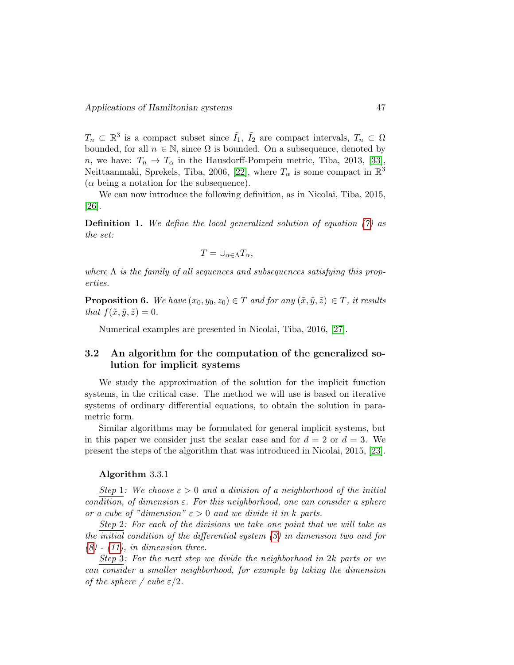$T_n \subset \mathbb{R}^3$  is a compact subset since  $\tilde{I}_1$ ,  $\tilde{I}_2$  are compact intervals,  $T_n \subset \Omega$ bounded, for all  $n \in \mathbb{N}$ , since  $\Omega$  is bounded. On a subsequence, denoted by n, we have:  $T_n \to T_\alpha$  in the Hausdorff-Pompeiu metric, Tiba, 2013, [\[33\]](#page-17-0), Neittaanmaki, Sprekels, Tiba, 2006, [\[22\]](#page-16-7), where  $T_{\alpha}$  is some compact in  $\mathbb{R}^3$  $(\alpha \text{ being a notation for the subsequence}).$ 

We can now introduce the following definition, as in Nicolai, Tiba, 2015, [\[26\]](#page-16-2).

**Definition 1.** We define the local generalized solution of equation  $(7)$  as the set:

$$
T=\cup_{\alpha\in\Lambda}T_\alpha,
$$

where  $\Lambda$  is the family of all sequences and subsequences satisfying this properties.

**Proposition 6.** We have  $(x_0, y_0, z_0) \in T$  and for any  $(\tilde{x}, \tilde{y}, \tilde{z}) \in T$ , it results that  $f(\tilde{x}, \tilde{y}, \tilde{z}) = 0$ .

Numerical examples are presented in Nicolai, Tiba, 2016, [\[27\]](#page-16-8).

## 3.2 An algorithm for the computation of the generalized solution for implicit systems

We study the approximation of the solution for the implicit function systems, in the critical case. The method we will use is based on iterative systems of ordinary differential equations, to obtain the solution in parametric form.

Similar algorithms may be formulated for general implicit systems, but in this paper we consider just the scalar case and for  $d = 2$  or  $d = 3$ . We present the steps of the algorithm that was introduced in Nicolai, 2015, [\[23\]](#page-16-4).

#### Algorithm 3.3.1

Step 1: We choose  $\varepsilon > 0$  and a division of a neighborhood of the initial condition, of dimension  $\varepsilon$ . For this neighborhood, one can consider a sphere or a cube of "dimension"  $\varepsilon > 0$  and we divide it in k parts.

Step 2: For each of the divisions we take one point that we will take as the initial condition of the differential system [\(3\)](#page-2-0) in dimension two and for  $(8)$  -  $(11)$ , in dimension three.

Step 3: For the next step we divide the neighborhood in 2k parts or we can consider a smaller neighborhood, for example by taking the dimension of the sphere / cube  $\varepsilon/2$ .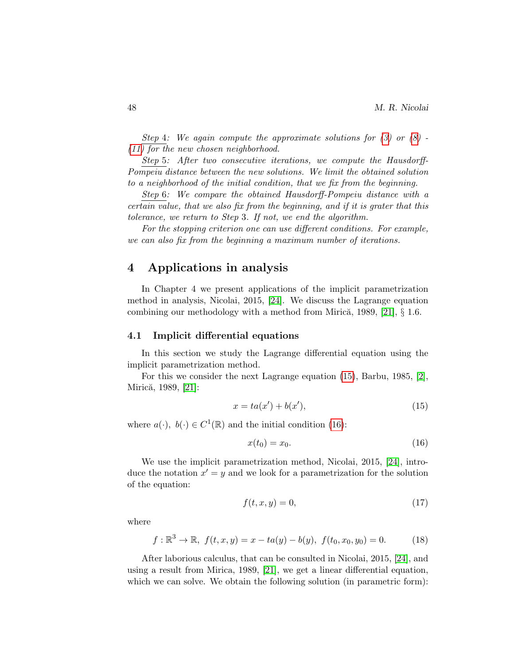Step 4: We again compute the approximate solutions for  $(3)$  or  $(8)$ . [\(11\)](#page-3-2) for the new chosen neighborhood.

Step 5: After two consecutive iterations, we compute the Hausdorff-Pompeiu distance between the new solutions. We limit the obtained solution to a neighborhood of the initial condition, that we fix from the beginning.

Step 6: We compare the obtained Hausdorff-Pompeiu distance with a certain value, that we also fix from the beginning, and if it is grater that this tolerance, we return to Step 3. If not, we end the algorithm.

For the stopping criterion one can use different conditions. For example, we can also fix from the beginning a maximum number of iterations.

# 4 Applications in analysis

In Chapter 4 we present applications of the implicit parametrization method in analysis, Nicolai, 2015, [\[24\]](#page-16-3). We discuss the Lagrange equation combining our methodology with a method from Mirică, 1989,  $[21]$ ,  $\S$  1.6.

## 4.1 Implicit differential equations

In this section we study the Lagrange differential equation using the implicit parametrization method.

For this we consider the next Lagrange equation [\(15\)](#page-7-0), Barbu, 1985, [\[2\]](#page-14-0), Mirică, 1989, [\[21\]](#page-16-9):

<span id="page-7-0"></span>
$$
x = ta(x') + b(x'),
$$
\n(15)

where  $a(\cdot), b(\cdot) \in C^1(\mathbb{R})$  and the initial condition [\(16\)](#page-7-1):

<span id="page-7-1"></span>
$$
x(t_0) = x_0. \tag{16}
$$

We use the implicit parametrization method, Nicolai, 2015, [\[24\]](#page-16-3), introduce the notation  $x' = y$  and we look for a parametrization for the solution of the equation:

$$
f(t, x, y) = 0,\t(17)
$$

where

$$
f: \mathbb{R}^3 \to \mathbb{R}, \ f(t, x, y) = x - ta(y) - b(y), \ f(t_0, x_0, y_0) = 0.
$$
 (18)

After laborious calculus, that can be consulted in Nicolai, 2015, [\[24\]](#page-16-3), and using a result from Mirica, 1989, [\[21\]](#page-16-9), we get a linear differential equation, which we can solve. We obtain the following solution (in parametric form):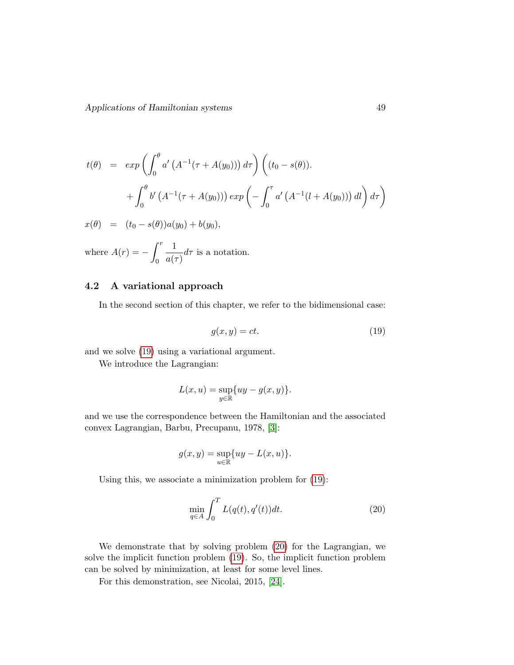$$
t(\theta) = exp\left(\int_0^{\theta} a' \left(A^{-1}(\tau + A(y_0))\right) d\tau\right) \left((t_0 - s(\theta)).
$$
  

$$
+ \int_0^{\theta} b' \left(A^{-1}(\tau + A(y_0))\right) exp\left(-\int_0^{\tau} a' \left(A^{-1}(l + A(y_0))\right) dl\right) d\tau\right)
$$
  

$$
x(\theta) = (t_0 - s(\theta))a(y_0) + b(y_0),
$$
  
where  $A(r) = -\int_0^r \frac{1}{a(\tau)} d\tau$  is a notation.

## 4.2 A variational approach

In the second section of this chapter, we refer to the bidimensional case:

<span id="page-8-0"></span>
$$
g(x, y) = ct.
$$
\n<sup>(19)</sup>

and we solve [\(19\)](#page-8-0) using a variational argument.

We introduce the Lagrangian:

$$
L(x, u) = \sup_{y \in \mathbb{R}} \{ uy - g(x, y) \}.
$$

and we use the correspondence between the Hamiltonian and the associated convex Lagrangian, Barbu, Precupanu, 1978, [\[3\]](#page-14-1):

$$
g(x, y) = \sup_{u \in \mathbb{R}} \{ uy - L(x, u) \}.
$$

Using this, we associate a minimization problem for [\(19\)](#page-8-0):

<span id="page-8-1"></span>
$$
\min_{q \in A} \int_0^T L(q(t), q'(t))dt.
$$
\n(20)

We demonstrate that by solving problem [\(20\)](#page-8-1) for the Lagrangian, we solve the implicit function problem [\(19\)](#page-8-0). So, the implicit function problem can be solved by minimization, at least for some level lines.

For this demonstration, see Nicolai, 2015, [\[24\]](#page-16-3).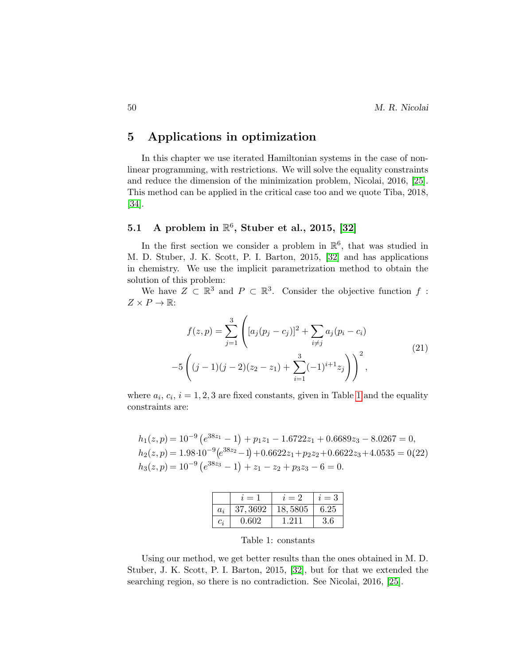# 5 Applications in optimization

In this chapter we use iterated Hamiltonian systems in the case of nonlinear programming, with restrictions. We will solve the equality constraints and reduce the dimension of the minimization problem, Nicolai, 2016, [\[25\]](#page-16-10). This method can be applied in the critical case too and we quote Tiba, 2018, [\[34\]](#page-17-5).

# 5.1 A problem in  $\mathbb{R}^6$ , Stuber et al., 2015, [\[32\]](#page-17-6)

In the first section we consider a problem in  $\mathbb{R}^6$ , that was studied in M. D. Stuber, J. K. Scott, P. I. Barton, 2015, [\[32\]](#page-17-6) and has applications in chemistry. We use the implicit parametrization method to obtain the solution of this problem:

We have  $Z \subset \mathbb{R}^3$  and  $P \subset \mathbb{R}^3$ . Consider the objective function f:  $Z \times P \to \mathbb{R}$ :

$$
f(z,p) = \sum_{j=1}^{3} \left( [a_j(p_j - c_j)]^2 + \sum_{i \neq j} a_j(p_i - c_i) -5 \left( (j-1)(j-2)(z_2 - z_1) + \sum_{i=1}^{3} (-1)^{i+1} z_j \right) \right)^2,
$$
\n(21)

where  $a_i$ ,  $c_i$ ,  $i = 1, 2, 3$  $i = 1, 2, 3$  $i = 1, 2, 3$  are fixed constants, given in Table 1 and the equality constraints are:

$$
h_1(z, p) = 10^{-9} (e^{38z_1} - 1) + p_1 z_1 - 1.6722z_1 + 0.6689z_3 - 8.0267 = 0,
$$
  
\n
$$
h_2(z, p) = 1.98 \cdot 10^{-9} (e^{38z_2} - 1) + 0.6622z_1 + p_2 z_2 + 0.6622z_3 + 4.0535 = 0(22)
$$
  
\n
$$
h_3(z, p) = 10^{-9} (e^{38z_3} - 1) + z_1 - z_2 + p_3 z_3 - 6 = 0.
$$

|       | $i=1$    | $i=2$   | $i=3$ |
|-------|----------|---------|-------|
| $a_i$ | 37, 3692 | 18,5805 | 6.25  |
| $c_i$ | 0.602    | 1.211   | 3.6   |

<span id="page-9-0"></span>Table 1: constants

Using our method, we get better results than the ones obtained in M. D. Stuber, J. K. Scott, P. I. Barton, 2015, [\[32\]](#page-17-6), but for that we extended the searching region, so there is no contradiction. See Nicolai, 2016, [\[25\]](#page-16-10).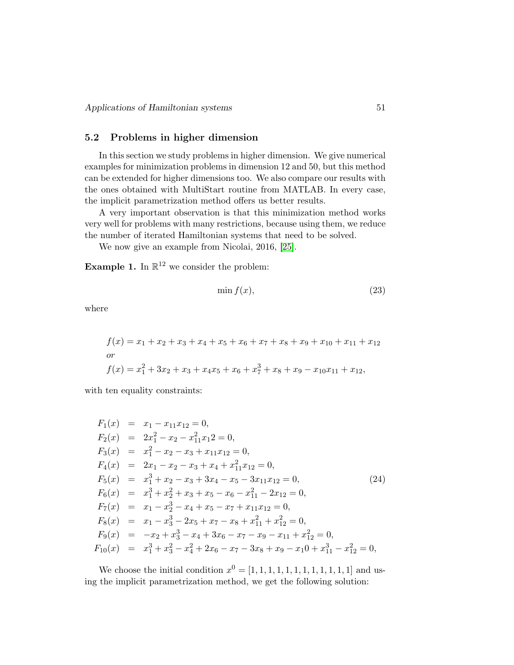## 5.2 Problems in higher dimension

In this section we study problems in higher dimension. We give numerical examples for minimization problems in dimension 12 and 50, but this method can be extended for higher dimensions too. We also compare our results with the ones obtained with MultiStart routine from MATLAB. In every case, the implicit parametrization method offers us better results.

A very important observation is that this minimization method works very well for problems with many restrictions, because using them, we reduce the number of iterated Hamiltonian systems that need to be solved.

We now give an example from Nicolai, 2016, [\[25\]](#page-16-10).

**Example 1.** In  $\mathbb{R}^{12}$  we consider the problem:

$$
\min f(x),\tag{23}
$$

where

$$
f(x) = x_1 + x_2 + x_3 + x_4 + x_5 + x_6 + x_7 + x_8 + x_9 + x_{10} + x_{11} + x_{12}
$$
  
or  

$$
f(x) = x_1^2 + 3x_2 + x_3 + x_4x_5 + x_6 + x_7^3 + x_8 + x_9 - x_{10}x_{11} + x_{12},
$$

with ten equality constraints:

$$
F_1(x) = x_1 - x_{11}x_{12} = 0,
$$
  
\n
$$
F_2(x) = 2x_1^2 - x_2 - x_{11}^2x_{12} = 0,
$$
  
\n
$$
F_3(x) = x_1^2 - x_2 - x_3 + x_{11}x_{12} = 0,
$$
  
\n
$$
F_4(x) = 2x_1 - x_2 - x_3 + x_4 + x_{11}^2x_{12} = 0,
$$
  
\n
$$
F_5(x) = x_1^3 + x_2 - x_3 + 3x_4 - x_5 - 3x_{11}x_{12} = 0,
$$
  
\n
$$
F_6(x) = x_1^3 + x_2^2 + x_3 + x_5 - x_6 - x_{11}^2 - 2x_{12} = 0,
$$
  
\n
$$
F_7(x) = x_1 - x_2^3 - x_4 + x_5 - x_7 + x_{11}x_{12} = 0,
$$
  
\n
$$
F_8(x) = x_1 - x_3^3 - 2x_5 + x_7 - x_8 + x_{11}^2 + x_{12}^2 = 0,
$$
  
\n
$$
F_9(x) = -x_2 + x_3^3 - x_4 + 3x_6 - x_7 - x_9 - x_{11} + x_{12}^2 = 0,
$$
  
\n
$$
F_{10}(x) = x_1^3 + x_3^2 - x_4^2 + 2x_6 - x_7 - 3x_8 + x_9 - x_10 + x_{11}^3 - x_{12}^2 = 0,
$$

We choose the initial condition  $x^0 = [1, 1, 1, 1, 1, 1, 1, 1, 1, 1, 1, 1]$  and using the implicit parametrization method, we get the following solution: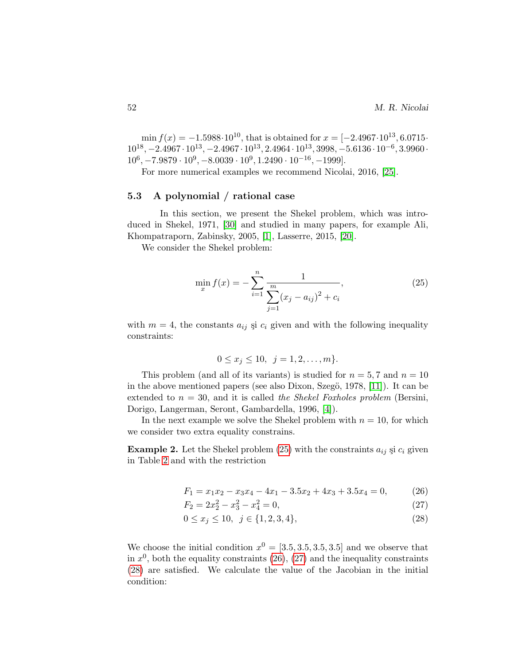min  $f(x) = -1.5988 \cdot 10^{10}$ , that is obtained for  $x = [-2.4967 \cdot 10^{13}, 6.0715 \cdot$  $10^{18}$ ,  $-2.4967 \cdot 10^{13}$ ,  $-2.4967 \cdot 10^{13}$ ,  $2.4964 \cdot 10^{13}$ ,  $3998$ ,  $-5.6136 \cdot 10^{-6}$ ,  $3.9960 \cdot$  $10^6$ ,  $-7.9879 \cdot 10^9$ ,  $-8.0039 \cdot 10^9$ ,  $1.2490 \cdot 10^{-16}$ ,  $-1999$ .

For more numerical examples we recommend Nicolai, 2016, [\[25\]](#page-16-10).

## 5.3 A polynomial / rational case

In this section, we present the Shekel problem, which was introduced in Shekel, 1971, [\[30\]](#page-17-7) and studied in many papers, for example Ali, Khompatraporn, Zabinsky, 2005, [\[1\]](#page-14-2), Lasserre, 2015, [\[20\]](#page-16-11).

We consider the Shekel problem:

<span id="page-11-0"></span>
$$
\min_{x} f(x) = -\sum_{i=1}^{n} \frac{1}{\sum_{j=1}^{m} (x_j - a_{ij})^2 + c_i},
$$
\n(25)

with  $m = 4$ , the constants  $a_{ij}$  și  $c_i$  given and with the following inequality constraints:

$$
0 \le x_j \le 10, \ \ j = 1, 2, \dots, m \}.
$$

This problem (and all of its variants) is studied for  $n = 5, 7$  and  $n = 10$ in the above mentioned papers (see also Dixon, Szegö, 1978,  $[11]$ ). It can be extended to  $n = 30$ , and it is called the Shekel Foxholes problem (Bersini, Dorigo, Langerman, Seront, Gambardella, 1996, [\[4\]](#page-15-12)).

In the next example we solve the Shekel problem with  $n = 10$ , for which we consider two extra equality constrains.

<span id="page-11-2"></span>**Example 2.** Let the Shekel problem [\(25\)](#page-11-0) with the constraints  $a_{ij}$  și  $c_i$  given in Table [2](#page-12-0) and with the restriction

<span id="page-11-1"></span>
$$
F_1 = x_1 x_2 - x_3 x_4 - 4x_1 - 3.5x_2 + 4x_3 + 3.5x_4 = 0,\t(26)
$$

$$
F_2 = 2x_2^2 - x_3^2 - x_4^2 = 0,\t\t(27)
$$

$$
0 \le x_j \le 10, \ \ j \in \{1, 2, 3, 4\},\tag{28}
$$

We choose the initial condition  $x^0 = [3.5, 3.5, 3.5, 3.5]$  and we observe that in  $x^0$ , both the equality constraints [\(26\)](#page-11-1), [\(27\)](#page-11-1) and the inequality constraints [\(28\)](#page-11-1) are satisfied. We calculate the value of the Jacobian in the initial condition: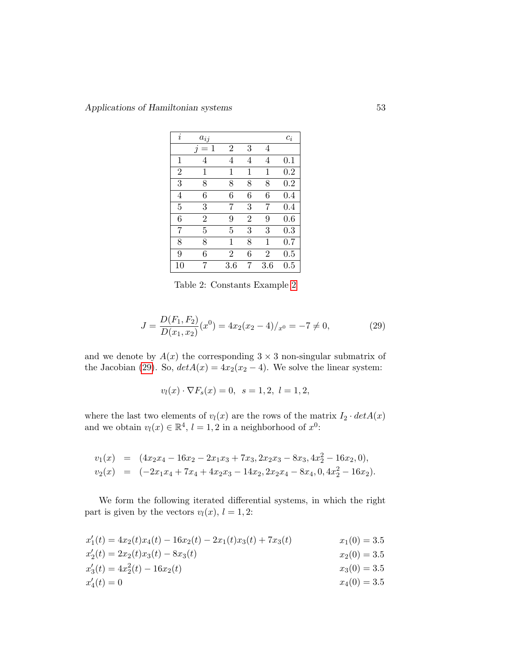| $\dot{\imath}$ | $a_{ij}$                       |                |                |                | $\mathfrak{c}_i$ |
|----------------|--------------------------------|----------------|----------------|----------------|------------------|
|                | 1<br>$\overline{\mathfrak{q}}$ | $\overline{2}$ | 3              | 4              |                  |
| 1              | 4                              | 4              | 4              | 4              | $0.1\,$          |
| $\overline{2}$ | 1                              | 1              | 1              | 1              | 0.2              |
| 3              | 8                              | 8              | 8              | 8              | 0.2              |
| 4              | 6                              | 6              | 6              | 6              | 0.4              |
| 5              | 3                              | 7              | 3              | 7              | 0.4              |
| 6              | $\overline{2}$                 | 9              | $\overline{2}$ | 9              | 0.6              |
| 7              | 5                              | 5              | 3              | 3              | 0.3              |
| 8              | 8                              | 1              | 8              | 1              | 0.7              |
| 9              | 6                              | $\overline{2}$ | 6              | $\overline{2}$ | 0.5              |
| 10             | 7                              | 3.6            | 7              | 3.6            | 0.5              |

<span id="page-12-0"></span>Table 2: Constants Example [2](#page-11-2)

<span id="page-12-1"></span>
$$
J = \frac{D(F_1, F_2)}{D(x_1, x_2)}(x^0) = 4x_2(x_2 - 4)/x^0 = -7 \neq 0,
$$
\n(29)

and we denote by  $A(x)$  the corresponding  $3 \times 3$  non-singular submatrix of the Jacobian [\(29\)](#page-12-1). So,  $det A(x) = 4x_2(x_2 - 4)$ . We solve the linear system:

$$
v_l(x) \cdot \nabla F_s(x) = 0, \ \ s = 1, 2, \ l = 1, 2,
$$

where the last two elements of  $v_l(x)$  are the rows of the matrix  $I_2 \cdot detA(x)$ and we obtain  $v_l(x) \in \mathbb{R}^4$ ,  $l = 1, 2$  in a neighborhood of  $x^0$ :

$$
v_1(x) = (4x_2x_4 - 16x_2 - 2x_1x_3 + 7x_3, 2x_2x_3 - 8x_3, 4x_2^2 - 16x_2, 0),
$$
  
\n
$$
v_2(x) = (-2x_1x_4 + 7x_4 + 4x_2x_3 - 14x_2, 2x_2x_4 - 8x_4, 0, 4x_2^2 - 16x_2).
$$

We form the following iterated differential systems, in which the right part is given by the vectors  $v_l(x)$ ,  $l = 1, 2$ :

$$
x'_1(t) = 4x_2(t)x_4(t) - 16x_2(t) - 2x_1(t)x_3(t) + 7x_3(t)
$$
  
\n
$$
x'_2(t) = 2x_2(t)x_3(t) - 8x_3(t)
$$
  
\n
$$
x'_1(0) = 3.5
$$
  
\n
$$
x'_2(0) = 3.5
$$
  
\n
$$
x'_2(0) = 3.5
$$
  
\n
$$
x_3(0) = 3.5
$$

<span id="page-12-2"></span>
$$
x_3'(t) = 4x_2^2(t) - 16x_2(t)
$$
  
\n
$$
x_3'(t) = 0
$$
  
\n
$$
x_2'(t) = 0
$$
  
\n
$$
x_3(0) = 3.5
$$
  
\n
$$
x_3(0) = 3.5
$$

$$
x_4'(t) = 0 \t\t x_4(0) = 3.5
$$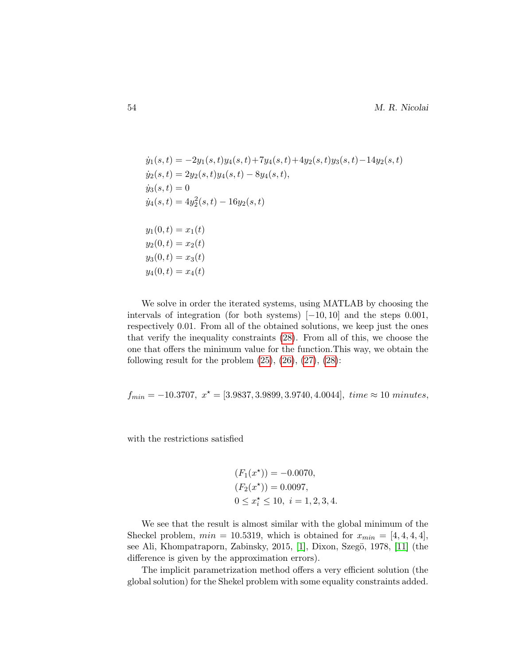$$
\dot{y}_1(s,t) = -2y_1(s,t)y_4(s,t) + 7y_4(s,t) + 4y_2(s,t)y_3(s,t) - 14y_2(s,t) \n\dot{y}_2(s,t) = 2y_2(s,t)y_4(s,t) - 8y_4(s,t), \n\dot{y}_3(s,t) = 0 \n\dot{y}_4(s,t) = 4y_2^2(s,t) - 16y_2(s,t) \n\begin{aligned}\ny_1(0,t) &= x_1(t) \ny_2(0,t) &= x_2(t) \ny_3(0,t) &= x_3(t) \ny_4(0,t) &= x_4(t)\n\end{aligned}
$$

We solve in order the iterated systems, using MATLAB by choosing the intervals of integration (for both systems)  $[-10, 10]$  and the steps 0.001, respectively 0.01. From all of the obtained solutions, we keep just the ones that verify the inequality constraints [\(28\)](#page-11-1). From all of this, we choose the one that offers the minimum value for the function.This way, we obtain the following result for the problem  $(25)$ ,  $(26)$ ,  $(27)$ ,  $(28)$ :

$$
f_{min} = -10.3707, x^* = [3.9837, 3.9899, 3.9740, 4.0044], time \approx 10 minutes,
$$

with the restrictions satisfied

$$
(F_1(x^*)) = -0.0070,
$$
  
\n
$$
(F_2(x^*)) = 0.0097,
$$
  
\n
$$
0 \le x_i^* \le 10, \ i = 1, 2, 3, 4.
$$

We see that the result is almost similar with the global minimum of the Sheckel problem,  $min = 10.5319$ , which is obtained for  $x_{min} = [4, 4, 4, 4]$ , see Ali, Khompatraporn, Zabinsky, 2015, [\[1\]](#page-14-2), Dixon, Szegö, 1978, [\[11\]](#page-15-11) (the difference is given by the approximation errors).

The implicit parametrization method offers a very efficient solution (the global solution) for the Shekel problem with some equality constraints added.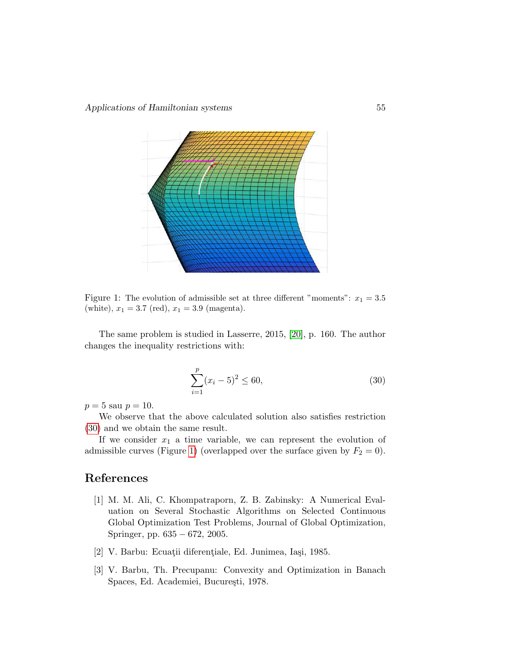

<span id="page-14-3"></span>Figure 1: The evolution of admissible set at three different "moments":  $x_1 = 3.5$ (white),  $x_1 = 3.7$  (red),  $x_1 = 3.9$  (magenta).

The same problem is studied in Lasserre, 2015, [\[20\]](#page-16-11), p. 160. The author changes the inequality restrictions with:

$$
\sum_{i=1}^{p} (x_i - 5)^2 \le 60,
$$
\n(30)

 $p = 5$  sau  $p = 10$ .

We observe that the above calculated solution also satisfies restriction [\(30\)](#page-12-2) and we obtain the same result.

If we consider  $x_1$  a time variable, we can represent the evolution of admissible curves (Figure [1\)](#page-14-3) (overlapped over the surface given by  $F_2 = 0$ ).

# References

- <span id="page-14-2"></span>[1] M. M. Ali, C. Khompatraporn, Z. B. Zabinsky: A Numerical Evaluation on Several Stochastic Algorithms on Selected Continuous Global Optimization Test Problems, Journal of Global Optimization, Springer, pp. 635 − 672, 2005.
- <span id="page-14-0"></span>[2] V. Barbu: Ecuații diferențiale, Ed. Junimea, Iași, 1985.
- <span id="page-14-1"></span>[3] V. Barbu, Th. Precupanu: Convexity and Optimization in Banach Spaces, Ed. Academiei, București, 1978.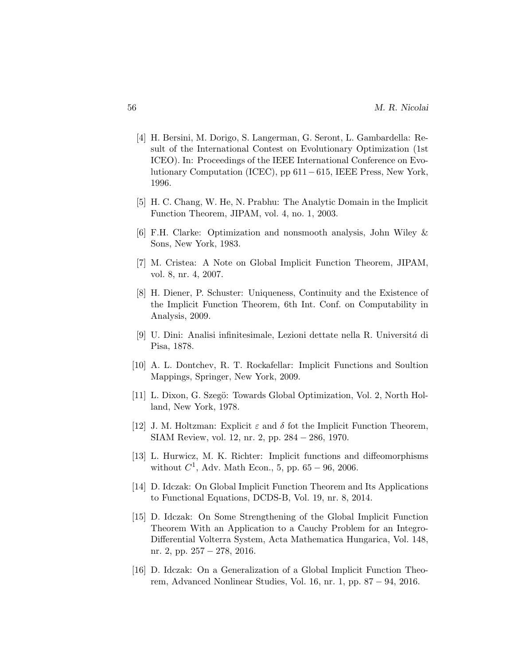- <span id="page-15-12"></span>[4] H. Bersini, M. Dorigo, S. Langerman, G. Seront, L. Gambardella: Result of the International Contest on Evolutionary Optimization (1st ICEO). In: Proceedings of the IEEE International Conference on Evolutionary Computation (ICEC), pp 611−615, IEEE Press, New York, 1996.
- <span id="page-15-3"></span>[5] H. C. Chang, W. He, N. Prabhu: The Analytic Domain in the Implicit Function Theorem, JIPAM, vol. 4, no. 1, 2003.
- <span id="page-15-8"></span>[6] F.H. Clarke: Optimization and nonsmooth analysis, John Wiley & Sons, New York, 1983.
- <span id="page-15-4"></span>[7] M. Cristea: A Note on Global Implicit Function Theorem, JIPAM, vol. 8, nr. 4, 2007.
- <span id="page-15-1"></span>[8] H. Diener, P. Schuster: Uniqueness, Continuity and the Existence of the Implicit Function Theorem, 6th Int. Conf. on Computability in Analysis, 2009.
- <span id="page-15-0"></span>[9] U. Dini: Analisi infinitesimale, Lezioni dettate nella R. Universit´a di Pisa, 1878.
- <span id="page-15-10"></span>[10] A. L. Dontchev, R. T. Rockafellar: Implicit Functions and Soultion Mappings, Springer, New York, 2009.
- <span id="page-15-11"></span>[11] L. Dixon, G. Szegö: Towards Global Optimization, Vol. 2, North Holland, New York, 1978.
- <span id="page-15-2"></span>[12] J. M. Holtzman: Explicit  $\varepsilon$  and  $\delta$  fot the Implicit Function Theorem, SIAM Review, vol. 12, nr. 2, pp. 284 − 286, 1970.
- <span id="page-15-9"></span>[13] L. Hurwicz, M. K. Richter: Implicit functions and diffeomorphisms without  $C^1$ , Adv. Math Econ., 5, pp. 65 – 96, 2006.
- <span id="page-15-5"></span>[14] D. Idczak: On Global Implicit Function Theorem and Its Applications to Functional Equations, DCDS-B, Vol. 19, nr. 8, 2014.
- <span id="page-15-6"></span>[15] D. Idczak: On Some Strengthening of the Global Implicit Function Theorem With an Application to a Cauchy Problem for an Integro-Differential Volterra System, Acta Mathematica Hungarica, Vol. 148, nr. 2, pp. 257 − 278, 2016.
- <span id="page-15-7"></span>[16] D. Idczak: On a Generalization of a Global Implicit Function Theorem, Advanced Nonlinear Studies, Vol. 16, nr. 1, pp. 87 − 94, 2016.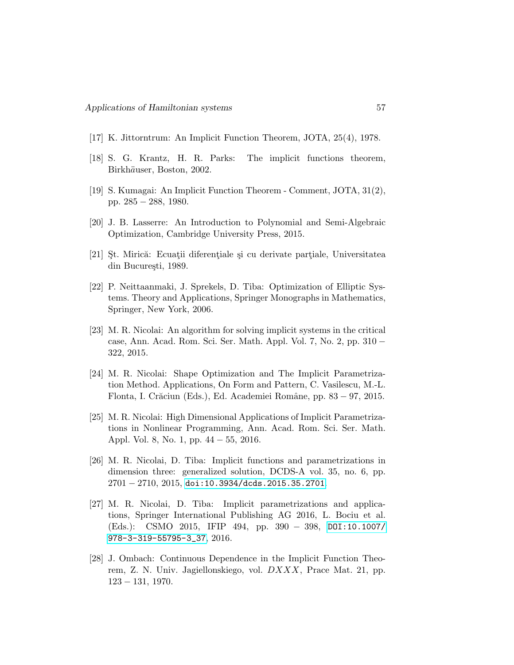- <span id="page-16-0"></span>[17] K. Jittorntrum: An Implicit Function Theorem, JOTA, 25(4), 1978.
- <span id="page-16-6"></span>[18] S. G. Krantz, H. R. Parks: The implicit functions theorem, Birkhäuser, Boston, 2002.
- <span id="page-16-1"></span>[19] S. Kumagai: An Implicit Function Theorem - Comment, JOTA, 31(2), pp. 285 − 288, 1980.
- <span id="page-16-11"></span>[20] J. B. Lasserre: An Introduction to Polynomial and Semi-Algebraic Optimization, Cambridge University Press, 2015.
- <span id="page-16-9"></span>[21] St. Mirică: Ecuatii diferențiale și cu derivate partiale, Universitatea din București, 1989.
- <span id="page-16-7"></span>[22] P. Neittaanmaki, J. Sprekels, D. Tiba: Optimization of Elliptic Systems. Theory and Applications, Springer Monographs in Mathematics, Springer, New York, 2006.
- <span id="page-16-4"></span>[23] M. R. Nicolai: An algorithm for solving implicit systems in the critical case, Ann. Acad. Rom. Sci. Ser. Math. Appl. Vol. 7, No. 2, pp. 310 − 322, 2015.
- <span id="page-16-3"></span>[24] M. R. Nicolai: Shape Optimization and The Implicit Parametrization Method. Applications, On Form and Pattern, C. Vasilescu, M.-L. Flonta, I. Crăciun (Eds.), Ed. Academiei Române, pp. 83 − 97, 2015.
- <span id="page-16-10"></span>[25] M. R. Nicolai: High Dimensional Applications of Implicit Parametrizations in Nonlinear Programming, Ann. Acad. Rom. Sci. Ser. Math. Appl. Vol. 8, No. 1, pp. 44 − 55, 2016.
- <span id="page-16-2"></span>[26] M. R. Nicolai, D. Tiba: Implicit functions and parametrizations in dimension three: generalized solution, DCDS-A vol. 35, no. 6, pp. 2701 − 2710, 2015, <doi:10.3934/dcds.2015.35.2701>.
- <span id="page-16-8"></span>[27] M. R. Nicolai, D. Tiba: Implicit parametrizations and applications, Springer International Publishing AG 2016, L. Bociu et al. (Eds.): CSMO 2015, IFIP 494, pp. 390 − 398, [DOI:10.1007/](DOI: 10.1007/978-3-319-55795-3_37) [978-3-319-55795-3\\_37](DOI: 10.1007/978-3-319-55795-3_37), 2016.
- <span id="page-16-5"></span>[28] J. Ombach: Continuous Dependence in the Implicit Function Theorem, Z. N. Univ. Jagiellonskiego, vol. DXXX, Prace Mat. 21, pp. 123 − 131, 1970.